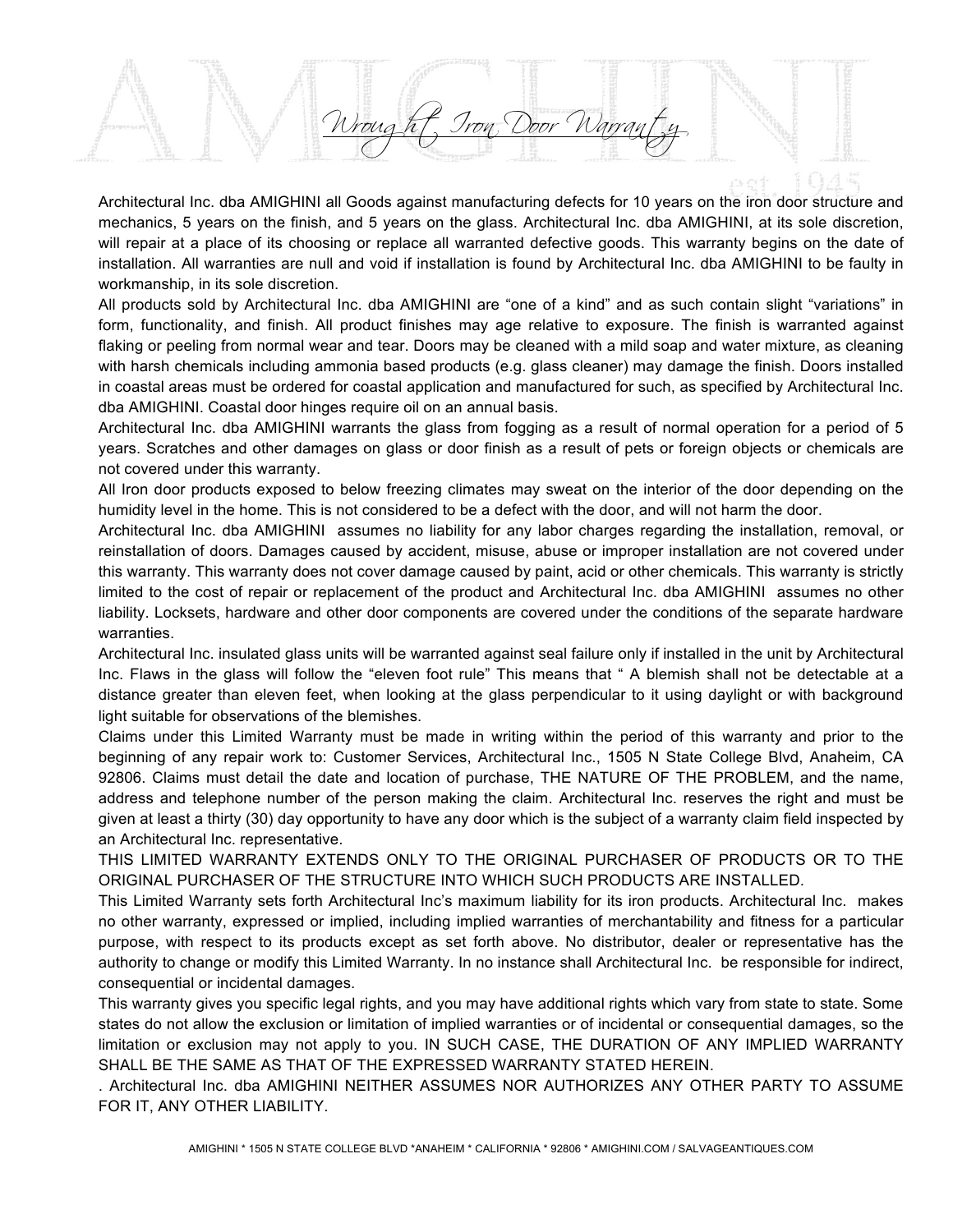rought Iron, Door Warran

Architectural Inc. dba AMIGHINI all Goods against manufacturing defects for 10 years on the iron door structure and mechanics, 5 years on the finish, and 5 years on the glass. Architectural Inc. dba AMIGHINI, at its sole discretion, will repair at a place of its choosing or replace all warranted defective goods. This warranty begins on the date of installation. All warranties are null and void if installation is found by Architectural Inc. dba AMIGHINI to be faulty in workmanship, in its sole discretion.

All products sold by Architectural Inc. dba AMIGHINI are "one of a kind" and as such contain slight "variations" in form, functionality, and finish. All product finishes may age relative to exposure. The finish is warranted against flaking or peeling from normal wear and tear. Doors may be cleaned with a mild soap and water mixture, as cleaning with harsh chemicals including ammonia based products (e.g. glass cleaner) may damage the finish. Doors installed in coastal areas must be ordered for coastal application and manufactured for such, as specified by Architectural Inc. dba AMIGHINI. Coastal door hinges require oil on an annual basis.

Architectural Inc. dba AMIGHINI warrants the glass from fogging as a result of normal operation for a period of 5 years. Scratches and other damages on glass or door finish as a result of pets or foreign objects or chemicals are not covered under this warranty.

All Iron door products exposed to below freezing climates may sweat on the interior of the door depending on the humidity level in the home. This is not considered to be a defect with the door, and will not harm the door.

Architectural Inc. dba AMIGHINI assumes no liability for any labor charges regarding the installation, removal, or reinstallation of doors. Damages caused by accident, misuse, abuse or improper installation are not covered under this warranty. This warranty does not cover damage caused by paint, acid or other chemicals. This warranty is strictly limited to the cost of repair or replacement of the product and Architectural Inc. dba AMIGHINI assumes no other liability. Locksets, hardware and other door components are covered under the conditions of the separate hardware warranties.

Architectural Inc. insulated glass units will be warranted against seal failure only if installed in the unit by Architectural Inc. Flaws in the glass will follow the "eleven foot rule" This means that " A blemish shall not be detectable at a distance greater than eleven feet, when looking at the glass perpendicular to it using daylight or with background light suitable for observations of the blemishes.

Claims under this Limited Warranty must be made in writing within the period of this warranty and prior to the beginning of any repair work to: Customer Services, Architectural Inc., 1505 N State College Blvd, Anaheim, CA 92806. Claims must detail the date and location of purchase, THE NATURE OF THE PROBLEM, and the name, address and telephone number of the person making the claim. Architectural Inc. reserves the right and must be given at least a thirty (30) day opportunity to have any door which is the subject of a warranty claim field inspected by an Architectural Inc. representative.

THIS LIMITED WARRANTY EXTENDS ONLY TO THE ORIGINAL PURCHASER OF PRODUCTS OR TO THE ORIGINAL PURCHASER OF THE STRUCTURE INTO WHICH SUCH PRODUCTS ARE INSTALLED.

This Limited Warranty sets forth Architectural Inc's maximum liability for its iron products. Architectural Inc. makes no other warranty, expressed or implied, including implied warranties of merchantability and fitness for a particular purpose, with respect to its products except as set forth above. No distributor, dealer or representative has the authority to change or modify this Limited Warranty. In no instance shall Architectural Inc. be responsible for indirect, consequential or incidental damages.

This warranty gives you specific legal rights, and you may have additional rights which vary from state to state. Some states do not allow the exclusion or limitation of implied warranties or of incidental or consequential damages, so the limitation or exclusion may not apply to you. IN SUCH CASE, THE DURATION OF ANY IMPLIED WARRANTY SHALL BE THE SAME AS THAT OF THE EXPRESSED WARRANTY STATED HEREIN.

. Architectural Inc. dba AMIGHINI NEITHER ASSUMES NOR AUTHORIZES ANY OTHER PARTY TO ASSUME FOR IT, ANY OTHER LIABILITY.